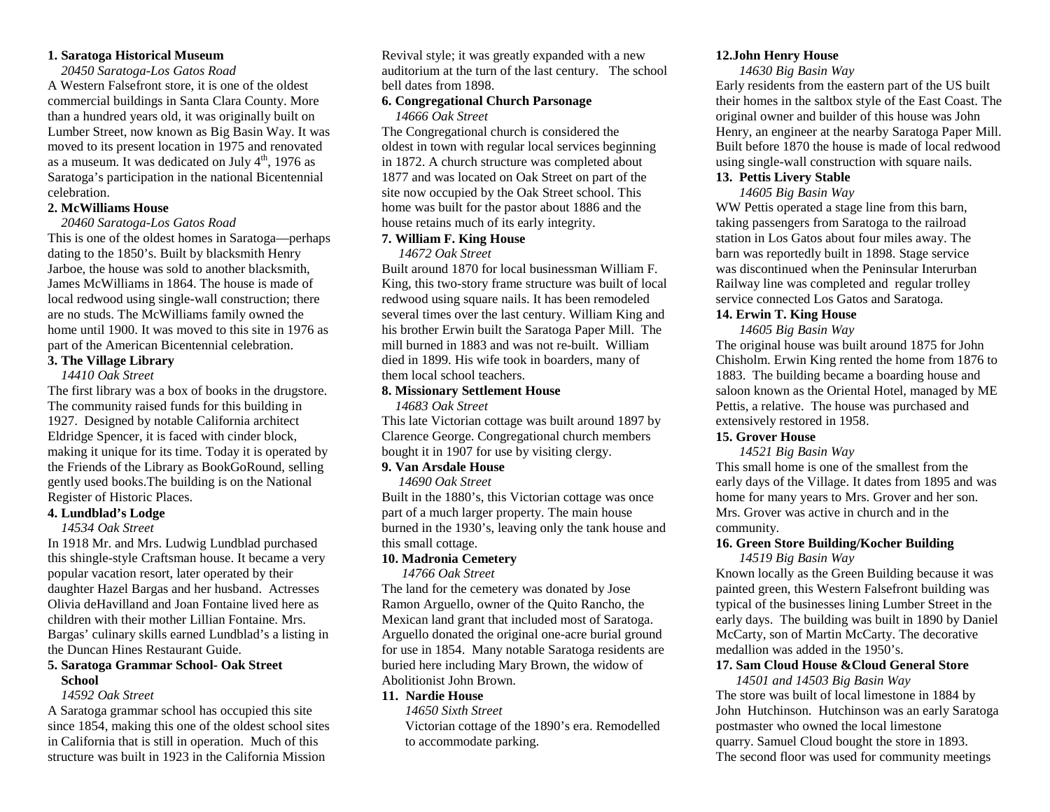#### **1. Saratoga Historical Museum**

 *20450 Saratoga-Los Gatos Road* 

 A Western Falsefront store, it is one of the oldest commercial buildings in Santa Clara County. More than a hundred years old, it was originally built on Lumber Street, now known as Big Basin Way. It was moved to its present location in 1975 and renovatedas a museum. It was dedicated on July  $4^{\text{th}}$ , 1976 as Saratoga's participation in the national Bicentennial celebration.

# **2. McWilliams House**

 *20460 Saratoga-Los Gatos Road* 

 This is one of the oldest homes in Saratoga—perhapsdating to the 1850's. Built by blacksmith Henry Jarboe, the house was sold to another blacksmith, James McWilliams in 1864. The house is made of local redwood using single-wall construction; thereare no studs. The McWilliams family owned the home until 1900. It was moved to this site in 1976 as part of the American Bicentennial celebration.

# **3. The Village Library**

 *14410 Oak Street* 

 The first library was a box of books in the drugstore. The community raised funds for this building in 1927. Designed by notable California architect Eldridge Spencer, it is faced with cinder block, making it unique for its time. Today it is operated by the Friends of the Library as BookGoRound, selling gently used books.The building is on the National Register of Historic Places.

#### **4. Lundblad's Lodge**

 *14534 Oak Street* 

In 1918 Mr. and Mrs. Ludwig Lundblad purchased this shingle-style Craftsman house. It became a very popular vacation resort, later operated by their daughter Hazel Bargas and her husband. Actresses Olivia deHavilland and Joan Fontaine lived here as children with their mother Lillian Fontaine. Mrs. Bargas' culinary skills earned Lundblad's a listing in the Duncan Hines Restaurant Guide.

#### **5. Saratoga Grammar School- Oak Street School**

# *14592 Oak Street*

 A Saratoga grammar school has occupied this site since 1854, making this one of the oldest school sites in California that is still in operation. Much of this structure was built in 1923 in the California Mission

Revival style; it was greatly expanded with a new auditorium at the turn of the last century. The school bell dates from 1898.

#### **6. Congregational Church Parsonage**  *14666 Oak Street*

The Congregational church is considered the oldest in town with regular local services beginning in 1872. A church structure was completed about 1877 and was located on Oak Street on part of the site now occupied by the Oak Street school. This home was built for the pastor about 1886 and the house retains much of its early integrity.

# **7. William F. King House**

#### *14672 Oak Street*

Built around 1870 for local businessman William F. King, this two-story frame structure was built of local redwood using square nails. It has been remodeled several times over the last century. William King and his brother Erwin built the Saratoga Paper Mill. The mill burned in 1883 and was not re-built. William died in 1899. His wife took in boarders, many of them local school teachers.

#### **8. Missionary Settlement House**

 *14683 Oak Street* 

 This late Victorian cottage was built around 1897 by Clarence George. Congregational church members bought it in 1907 for use by visiting clergy.

#### **9. Van Arsdale House**

 *14690 Oak Street* 

Built in the 1880's, this Victorian cottage was once part of a much larger property. The main house burned in the 1930's, leaving only the tank house and this small cottage.

# **10. Madronia Cemetery**

 *14766 Oak Street* 

The land for the cemetery was donated by Jose Ramon Arguello, owner of the Quito Rancho, the Mexican land grant that included most of Saratoga. Arguello donated the original one-acre burial ground for use in 1854. Many notable Saratoga residents are buried here including Mary Brown, the widow of Abolitionist John Brown.

# **11. Nardie House**

 *14650 Sixth Street*  Victorian cottage of the 1890's era. Remodelled to accommodate parking.

# **12.John Henry House**

#### *14630 Big Basin Way*

 Early residents from the eastern part of the US built their homes in the saltbox style of the East Coast. The original owner and builder of this house was John Henry, an engineer at the nearby Saratoga Paper Mill. Built before 1870 the house is made of local redwood using single-wall construction with square nails.

# **13. Pettis Livery Stable**

 *14605 Big Basin Way* 

 WW Pettis operated a stage line from this barn, taking passengers from Saratoga to the railroad station in Los Gatos about four miles away. The barn was reportedly built in 1898. Stage service was discontinued when the Peninsular Interurban Railway line was completed and regular trolley service connected Los Gatos and Saratoga.

# **14. Erwin T. King House**

 *14605 Big Basin Way* 

 The original house was built around 1875 for John Chisholm. Erwin King rented the home from 1876 to 1883. The building became a boarding house and saloon known as the Oriental Hotel, managed by ME Pettis, a relative. The house was purchased and extensively restored in 1958.

# **15. Grover House**

 *14521 Big Basin Way* 

 This small home is one of the smallest from the early days of the Village. It dates from 1895 and was home for many years to Mrs. Grover and her son. Mrs. Grover was active in church and in the community.

# **16. Green Store Building/Kocher Building**

 *14519 Big Basin Way* 

 Known locally as the Green Building because it was painted green, this Western Falsefront building was typical of the businesses lining Lumber Street in the early days. The building was built in 1890 by Daniel McCarty, son of Martin McCarty. The decorative medallion was added in the 1950's.

# **17. Sam Cloud House &Cloud General Store**

 *14501 and 14503 Big Basin Way*  The store was built of local limestone in 1884 by John Hutchinson. Hutchinson was an early Saratogapostmaster who owned the local limestone quarry. Samuel Cloud bought the store in 1893. The second floor was used for community meetings